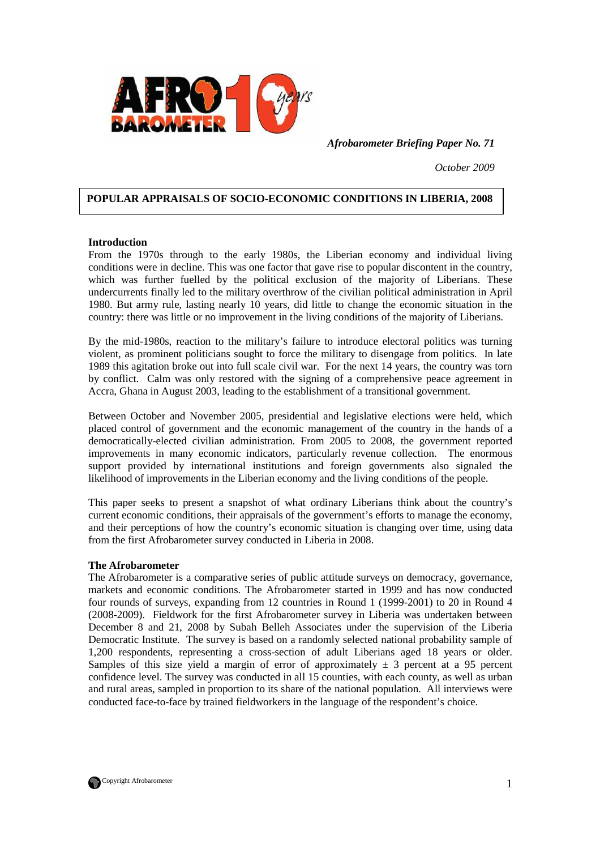

*Afrobarometer Briefing Paper No. 71* 

*October 2009* 

## **POPULAR APPRAISALS OF SOCIO-ECONOMIC CONDITIONS IN LIBERIA, 2008**

#### **Introduction**

From the 1970s through to the early 1980s, the Liberian economy and individual living conditions were in decline. This was one factor that gave rise to popular discontent in the country, which was further fuelled by the political exclusion of the majority of Liberians. These undercurrents finally led to the military overthrow of the civilian political administration in April 1980. But army rule, lasting nearly 10 years, did little to change the economic situation in the country: there was little or no improvement in the living conditions of the majority of Liberians.

By the mid-1980s, reaction to the military's failure to introduce electoral politics was turning violent, as prominent politicians sought to force the military to disengage from politics. In late 1989 this agitation broke out into full scale civil war. For the next 14 years, the country was torn by conflict. Calm was only restored with the signing of a comprehensive peace agreement in Accra, Ghana in August 2003, leading to the establishment of a transitional government.

Between October and November 2005, presidential and legislative elections were held, which placed control of government and the economic management of the country in the hands of a democratically-elected civilian administration. From 2005 to 2008, the government reported improvements in many economic indicators, particularly revenue collection. The enormous support provided by international institutions and foreign governments also signaled the likelihood of improvements in the Liberian economy and the living conditions of the people.

This paper seeks to present a snapshot of what ordinary Liberians think about the country's current economic conditions, their appraisals of the government's efforts to manage the economy, and their perceptions of how the country's economic situation is changing over time, using data from the first Afrobarometer survey conducted in Liberia in 2008.

#### **The Afrobarometer**

The Afrobarometer is a comparative series of public attitude surveys on democracy, governance, markets and economic conditions. The Afrobarometer started in 1999 and has now conducted four rounds of surveys, expanding from 12 countries in Round 1 (1999-2001) to 20 in Round 4 (2008-2009). Fieldwork for the first Afrobarometer survey in Liberia was undertaken between December 8 and 21, 2008 by Subah Belleh Associates under the supervision of the Liberia Democratic Institute. The survey is based on a randomly selected national probability sample of 1,200 respondents, representing a cross-section of adult Liberians aged 18 years or older. Samples of this size yield a margin of error of approximately  $\pm$  3 percent at a 95 percent confidence level. The survey was conducted in all 15 counties, with each county, as well as urban and rural areas, sampled in proportion to its share of the national population. All interviews were conducted face-to-face by trained fieldworkers in the language of the respondent's choice.

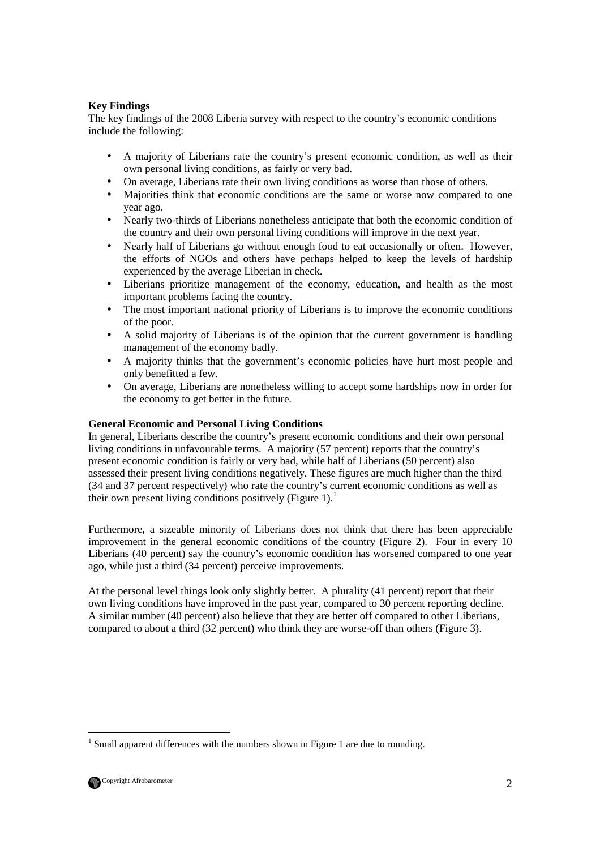# **Key Findings**

The key findings of the 2008 Liberia survey with respect to the country's economic conditions include the following:

- A majority of Liberians rate the country's present economic condition, as well as their own personal living conditions, as fairly or very bad.
- On average, Liberians rate their own living conditions as worse than those of others.
- Majorities think that economic conditions are the same or worse now compared to one year ago.
- Nearly two-thirds of Liberians nonetheless anticipate that both the economic condition of the country and their own personal living conditions will improve in the next year.
- Nearly half of Liberians go without enough food to eat occasionally or often. However, the efforts of NGOs and others have perhaps helped to keep the levels of hardship experienced by the average Liberian in check.
- Liberians prioritize management of the economy, education, and health as the most important problems facing the country.
- The most important national priority of Liberians is to improve the economic conditions of the poor.
- A solid majority of Liberians is of the opinion that the current government is handling management of the economy badly.
- A majority thinks that the government's economic policies have hurt most people and only benefitted a few.
- On average, Liberians are nonetheless willing to accept some hardships now in order for the economy to get better in the future.

## **General Economic and Personal Living Conditions**

In general, Liberians describe the country's present economic conditions and their own personal living conditions in unfavourable terms. A majority (57 percent) reports that the country's present economic condition is fairly or very bad, while half of Liberians (50 percent) also assessed their present living conditions negatively. These figures are much higher than the third (34 and 37 percent respectively) who rate the country's current economic conditions as well as their own present living conditions positively (Figure 1).<sup>1</sup>

Furthermore, a sizeable minority of Liberians does not think that there has been appreciable improvement in the general economic conditions of the country (Figure 2). Four in every 10 Liberians (40 percent) say the country's economic condition has worsened compared to one year ago, while just a third (34 percent) perceive improvements.

At the personal level things look only slightly better. A plurality (41 percent) report that their own living conditions have improved in the past year, compared to 30 percent reporting decline. A similar number (40 percent) also believe that they are better off compared to other Liberians, compared to about a third (32 percent) who think they are worse-off than others (Figure 3).

<sup>-</sup> $<sup>1</sup>$  Small apparent differences with the numbers shown in Figure 1 are due to rounding.</sup>

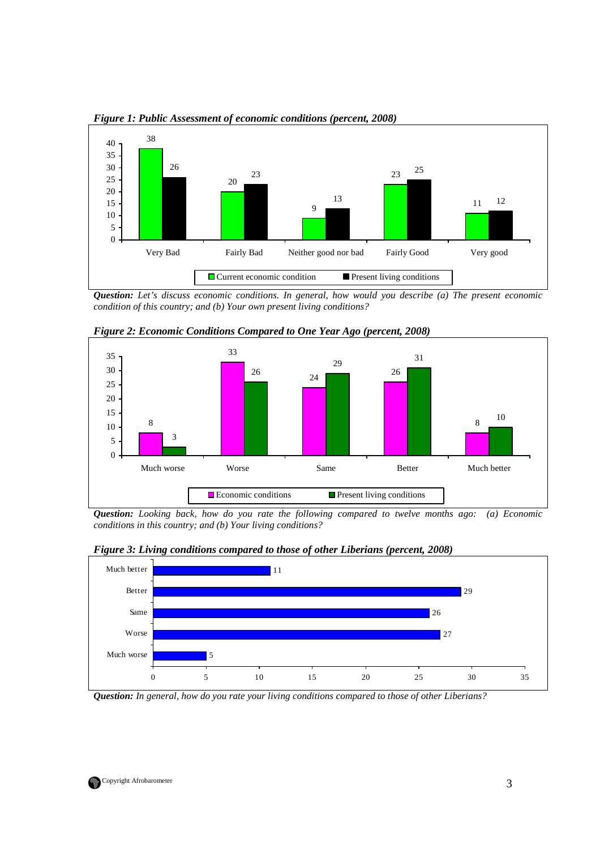

*Figure 1: Public Assessment of economic conditions (percent, 2008)* 

*Question: Let's discuss economic conditions. In general, how would you describe (a) The present economic condition of this country; and (b) Your own present living conditions?* 



*Figure 2: Economic Conditions Compared to One Year Ago (percent, 2008)* 

*Question: Looking back, how do you rate the following compared to twelve months ago: (a) Economic conditions in this country; and (b) Your living conditions?*





*Question: In general, how do you rate your living conditions compared to those of other Liberians?* 

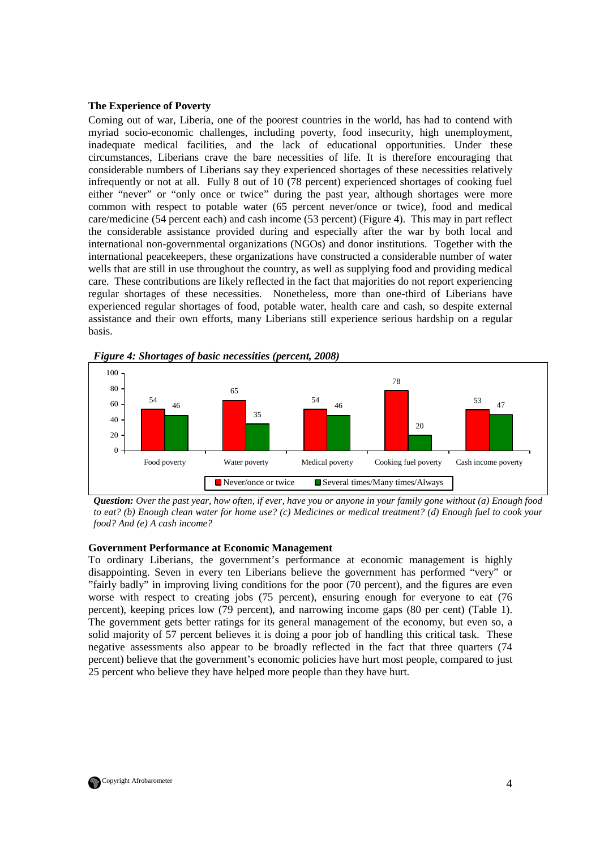#### **The Experience of Poverty**

Coming out of war, Liberia, one of the poorest countries in the world, has had to contend with myriad socio-economic challenges, including poverty, food insecurity, high unemployment, inadequate medical facilities, and the lack of educational opportunities. Under these circumstances, Liberians crave the bare necessities of life. It is therefore encouraging that considerable numbers of Liberians say they experienced shortages of these necessities relatively infrequently or not at all. Fully 8 out of 10 (78 percent) experienced shortages of cooking fuel either "never" or "only once or twice" during the past year, although shortages were more common with respect to potable water (65 percent never/once or twice), food and medical care/medicine (54 percent each) and cash income (53 percent) (Figure 4). This may in part reflect the considerable assistance provided during and especially after the war by both local and international non-governmental organizations (NGOs) and donor institutions. Together with the international peacekeepers, these organizations have constructed a considerable number of water wells that are still in use throughout the country, as well as supplying food and providing medical care. These contributions are likely reflected in the fact that majorities do not report experiencing regular shortages of these necessities. Nonetheless, more than one-third of Liberians have experienced regular shortages of food, potable water, health care and cash, so despite external assistance and their own efforts, many Liberians still experience serious hardship on a regular basis.



*Figure 4: Shortages of basic necessities (percent, 2008)* 

*Question: Over the past year, how often, if ever, have you or anyone in your family gone without (a) Enough food to eat? (b) Enough clean water for home use? (c) Medicines or medical treatment? (d) Enough fuel to cook your food? And (e) A cash income?* 

#### **Government Performance at Economic Management**

To ordinary Liberians, the government's performance at economic management is highly disappointing. Seven in every ten Liberians believe the government has performed "very" or "fairly badly" in improving living conditions for the poor (70 percent), and the figures are even worse with respect to creating jobs (75 percent), ensuring enough for everyone to eat (76 percent), keeping prices low (79 percent), and narrowing income gaps (80 per cent) (Table 1). The government gets better ratings for its general management of the economy, but even so, a solid majority of 57 percent believes it is doing a poor job of handling this critical task. These negative assessments also appear to be broadly reflected in the fact that three quarters (74 percent) believe that the government's economic policies have hurt most people, compared to just 25 percent who believe they have helped more people than they have hurt.

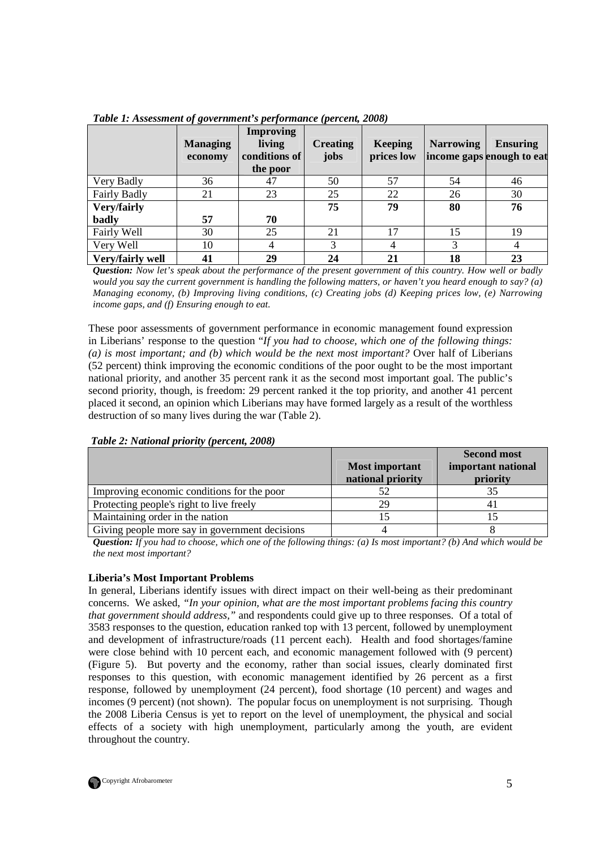|                  | $\sim$ $\sim$<br><b>Managing</b><br>economy | <b>Improving</b><br>living<br>conditions of<br>the poor | <b>Creating</b><br>jobs | <b>Keeping</b><br>prices low | <b>Narrowing</b> | <b>Ensuring</b><br>income gaps enough to eat |
|------------------|---------------------------------------------|---------------------------------------------------------|-------------------------|------------------------------|------------------|----------------------------------------------|
| Very Badly       | 36                                          | 47                                                      | 50                      | 57                           | 54               | 46                                           |
| Fairly Badly     | 21                                          | 23                                                      | 25                      | 22                           | 26               | 30                                           |
| Very/fairly      |                                             |                                                         | 75                      | 79                           | 80               | 76                                           |
| badly            | 57                                          | 70                                                      |                         |                              |                  |                                              |
| Fairly Well      | 30                                          | 25                                                      | 21                      | 17                           | 15               | 19                                           |
| Very Well        | 10                                          | $\overline{4}$                                          | 3                       | 4                            | 3                | 4                                            |
| Very/fairly well | 41                                          | 29                                                      | 24                      | 21                           | 18               | 23                                           |

*Table 1: Assessment of government's performance (percent, 2008)* 

*Question: Now let's speak about the performance of the present government of this country. How well or badly would you say the current government is handling the following matters, or haven't you heard enough to say? (a) Managing economy, (b) Improving living conditions, (c) Creating jobs (d) Keeping prices low, (e) Narrowing income gaps, and (f) Ensuring enough to eat.*

These poor assessments of government performance in economic management found expression in Liberians' response to the question "*If you had to choose, which one of the following things:*  (a) is most important; and (b) which would be the next most important? Over half of Liberians (52 percent) think improving the economic conditions of the poor ought to be the most important national priority, and another 35 percent rank it as the second most important goal. The public's second priority, though, is freedom: 29 percent ranked it the top priority, and another 41 percent placed it second, an opinion which Liberians may have formed largely as a result of the worthless destruction of so many lives during the war (Table 2).

| Table 2: National priority (percent, 2008) |
|--------------------------------------------|
|--------------------------------------------|

|                                                |                       | <b>Second most</b> |
|------------------------------------------------|-----------------------|--------------------|
|                                                | <b>Most important</b> | important national |
|                                                | national priority     | priority           |
| Improving economic conditions for the poor     |                       |                    |
| Protecting people's right to live freely       | 29                    |                    |
| Maintaining order in the nation                |                       |                    |
| Giving people more say in government decisions |                       |                    |

*Question: If you had to choose, which one of the following things: (a) Is most important? (b) And which would be the next most important?* 

# **Liberia's Most Important Problems**

In general, Liberians identify issues with direct impact on their well-being as their predominant concerns. We asked, *"In your opinion, what are the most important problems facing this country that government should address,"* and respondents could give up to three responses. Of a total of 3583 responses to the question, education ranked top with 13 percent, followed by unemployment and development of infrastructure/roads (11 percent each). Health and food shortages/famine were close behind with 10 percent each, and economic management followed with (9 percent) (Figure 5). But poverty and the economy, rather than social issues, clearly dominated first responses to this question, with economic management identified by 26 percent as a first response, followed by unemployment (24 percent), food shortage (10 percent) and wages and incomes (9 percent) (not shown). The popular focus on unemployment is not surprising. Though the 2008 Liberia Census is yet to report on the level of unemployment, the physical and social effects of a society with high unemployment, particularly among the youth, are evident throughout the country.

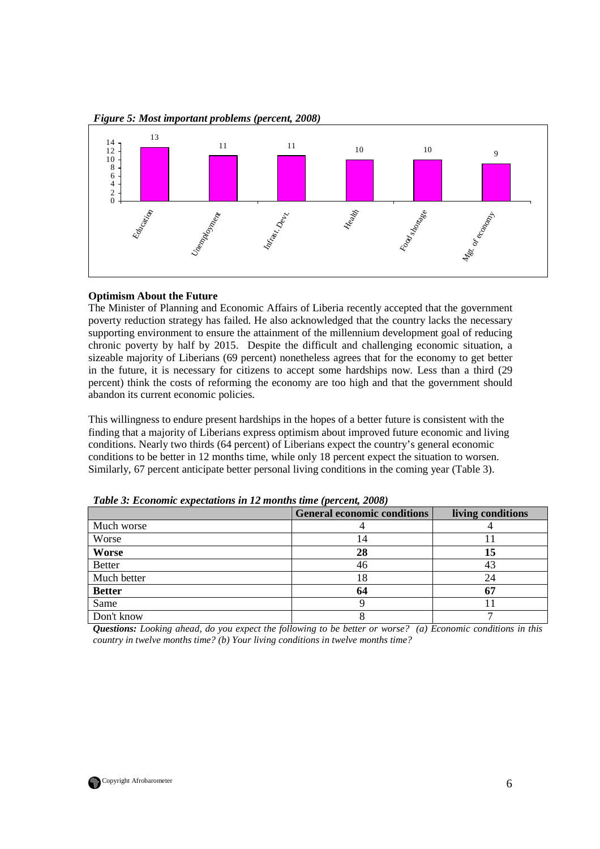

*Figure 5: Most important problems (percent, 2008)* 

# **Optimism About the Future**

The Minister of Planning and Economic Affairs of Liberia recently accepted that the government poverty reduction strategy has failed. He also acknowledged that the country lacks the necessary supporting environment to ensure the attainment of the millennium development goal of reducing chronic poverty by half by 2015. Despite the difficult and challenging economic situation, a sizeable majority of Liberians (69 percent) nonetheless agrees that for the economy to get better in the future, it is necessary for citizens to accept some hardships now. Less than a third (29 percent) think the costs of reforming the economy are too high and that the government should abandon its current economic policies.

This willingness to endure present hardships in the hopes of a better future is consistent with the finding that a majority of Liberians express optimism about improved future economic and living conditions. Nearly two thirds (64 percent) of Liberians expect the country's general economic conditions to be better in 12 months time, while only 18 percent expect the situation to worsen. Similarly, 67 percent anticipate better personal living conditions in the coming year (Table 3).

|               | <b>General economic conditions</b> | living conditions |
|---------------|------------------------------------|-------------------|
| Much worse    |                                    |                   |
| Worse         | 14                                 |                   |
| <b>Worse</b>  | 28                                 | 15                |
| <b>Better</b> | 46                                 | 43                |
| Much better   | 18                                 | 24                |
| <b>Better</b> | 64                                 | 67                |
| Same          |                                    |                   |
| Don't know    |                                    |                   |

*Table 3: Economic expectations in 12 months time (percent, 2008)* 

*Questions: Looking ahead, do you expect the following to be better or worse? (a) Economic conditions in this country in twelve months time? (b) Your living conditions in twelve months time?*